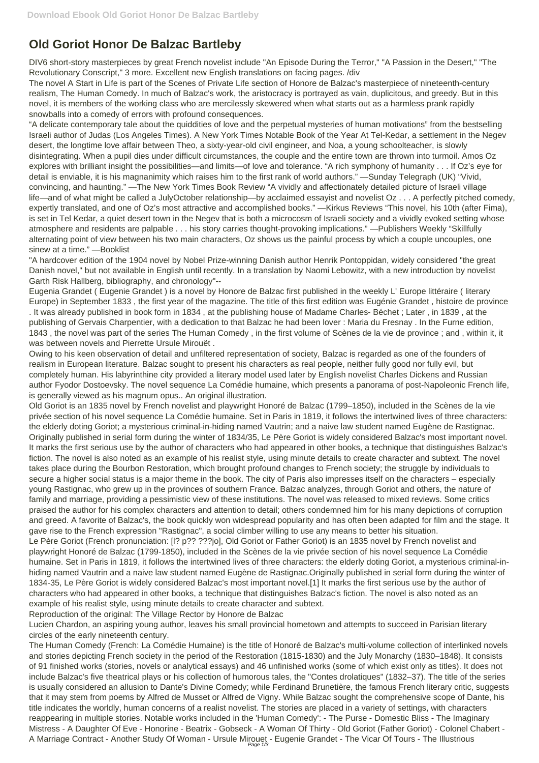## **Old Goriot Honor De Balzac Bartleby**

DIV6 short-story masterpieces by great French novelist include "An Episode During the Terror," "A Passion in the Desert," "The Revolutionary Conscript," 3 more. Excellent new English translations on facing pages. /div

The novel A Start in Life is part of the Scenes of Private Life section of Honore de Balzac's masterpiece of nineteenth-century realism, The Human Comedy. In much of Balzac's work, the aristocracy is portrayed as vain, duplicitous, and greedy. But in this novel, it is members of the working class who are mercilessly skewered when what starts out as a harmless prank rapidly snowballs into a comedy of errors with profound consequences.

"A delicate contemporary tale about the quiddities of love and the perpetual mysteries of human motivations" from the bestselling Israeli author of Judas (Los Angeles Times). A New York Times Notable Book of the Year At Tel-Kedar, a settlement in the Negev desert, the longtime love affair between Theo, a sixty-year-old civil engineer, and Noa, a young schoolteacher, is slowly disintegrating. When a pupil dies under difficult circumstances, the couple and the entire town are thrown into turmoil. Amos Oz explores with brilliant insight the possibilities—and limits—of love and tolerance. "A rich symphony of humanity . . . If Oz's eye for detail is enviable, it is his magnanimity which raises him to the first rank of world authors." —Sunday Telegraph (UK) "Vivid, convincing, and haunting." —The New York Times Book Review "A vividly and affectionately detailed picture of Israeli village life—and of what might be called a JulyOctober relationship—by acclaimed essayist and novelist Oz . . . A perfectly pitched comedy, expertly translated, and one of Oz's most attractive and accomplished books." —Kirkus Reviews "This novel, his 10th (after Fima), is set in Tel Kedar, a quiet desert town in the Negev that is both a microcosm of Israeli society and a vividly evoked setting whose atmosphere and residents are palpable . . . his story carries thought-provoking implications." —Publishers Weekly "Skillfully alternating point of view between his two main characters, Oz shows us the painful process by which a couple uncouples, one sinew at a time." —Booklist

"A hardcover edition of the 1904 novel by Nobel Prize-winning Danish author Henrik Pontoppidan, widely considered "the great Danish novel," but not available in English until recently. In a translation by Naomi Lebowitz, with a new introduction by novelist Garth Risk Hallberg, bibliography, and chronology"--

Eugenia Grandet ( Eugenie Grandet ) is a novel by Honore de Balzac first published in the weekly L' Europe littéraire ( literary Europe) in September 1833 , the first year of the magazine. The title of this first edition was Eugénie Grandet , histoire de province . It was already published in book form in 1834 , at the publishing house of Madame Charles- Béchet ; Later , in 1839 , at the publishing of Gervais Charpentier, with a dedication to that Balzac he had been lover : Maria du Fresnay . In the Furne edition, 1843 , the novel was part of the series The Human Comedy , in the first volume of Scènes de la vie de province ; and , within it, it was between novels and Pierrette Ursule Mirouët .

Owing to his keen observation of detail and unfiltered representation of society, Balzac is regarded as one of the founders of realism in European literature. Balzac sought to present his characters as real people, neither fully good nor fully evil, but completely human. His labyrinthine city provided a literary model used later by English novelist Charles Dickens and Russian author Fyodor Dostoevsky. The novel sequence La Comédie humaine, which presents a panorama of post-Napoleonic French life, is generally viewed as his magnum opus.. An original illustration.

Old Goriot is an 1835 novel by French novelist and playwright Honoré de Balzac (1799–1850), included in the Scènes de la vie privée section of his novel sequence La Comédie humaine. Set in Paris in 1819, it follows the intertwined lives of three characters: the elderly doting Goriot; a mysterious criminal-in-hiding named Vautrin; and a naive law student named Eugène de Rastignac. Originally published in serial form during the winter of 1834/35, Le Père Goriot is widely considered Balzac's most important novel. It marks the first serious use by the author of characters who had appeared in other books, a technique that distinguishes Balzac's fiction. The novel is also noted as an example of his realist style, using minute details to create character and subtext. The novel takes place during the Bourbon Restoration, which brought profound changes to French society; the struggle by individuals to secure a higher social status is a major theme in the book. The city of Paris also impresses itself on the characters – especially young Rastignac, who grew up in the provinces of southern France. Balzac analyzes, through Goriot and others, the nature of family and marriage, providing a pessimistic view of these institutions. The novel was released to mixed reviews. Some critics praised the author for his complex characters and attention to detail; others condemned him for his many depictions of corruption and greed. A favorite of Balzac's, the book quickly won widespread popularity and has often been adapted for film and the stage. It gave rise to the French expression "Rastignac", a social climber willing to use any means to better his situation.

Le Père Goriot (French pronunciation: [l? p?? ???jo], Old Goriot or Father Goriot) is an 1835 novel by French novelist and playwright Honoré de Balzac (1799-1850), included in the Scènes de la vie privée section of his novel sequence La Comédie humaine. Set in Paris in 1819, it follows the intertwined lives of three characters: the elderly doting Goriot, a mysterious criminal-inhiding named Vautrin and a naive law student named Eugène de Rastignac.Originally published in serial form during the winter of 1834-35, Le Père Goriot is widely considered Balzac's most important novel.[1] It marks the first serious use by the author of characters who had appeared in other books, a technique that distinguishes Balzac's fiction. The novel is also noted as an example of his realist style, using minute details to create character and subtext.

Reproduction of the original: The Village Rector by Honore de Balzac

Lucien Chardon, an aspiring young author, leaves his small provincial hometown and attempts to succeed in Parisian literary circles of the early nineteenth century.

The Human Comedy (French: La Comédie Humaine) is the title of Honoré de Balzac's multi-volume collection of interlinked novels and stories depicting French society in the period of the Restoration (1815-1830) and the July Monarchy (1830–1848). It consists of 91 finished works (stories, novels or analytical essays) and 46 unfinished works (some of which exist only as titles). It does not include Balzac's five theatrical plays or his collection of humorous tales, the "Contes drolatiques" (1832–37). The title of the series is usually considered an allusion to Dante's Divine Comedy; while Ferdinand Brunetière, the famous French literary critic, suggests that it may stem from poems by Alfred de Musset or Alfred de Vigny. While Balzac sought the comprehensive scope of Dante, his title indicates the worldly, human concerns of a realist novelist. The stories are placed in a variety of settings, with characters reappearing in multiple stories. Notable works included in the 'Human Comedy': - The Purse - Domestic Bliss - The Imaginary Mistress - A Daughter Of Eve - Honorine - Beatrix - Gobseck - A Woman Of Thirty - Old Goriot (Father Goriot) - Colonel Chabert - A Marriage Contract - Another Study Of Woman - Ursule Mirouet - Eugenie Grandet - The Vicar Of Tours - The Illustrious Page 1/3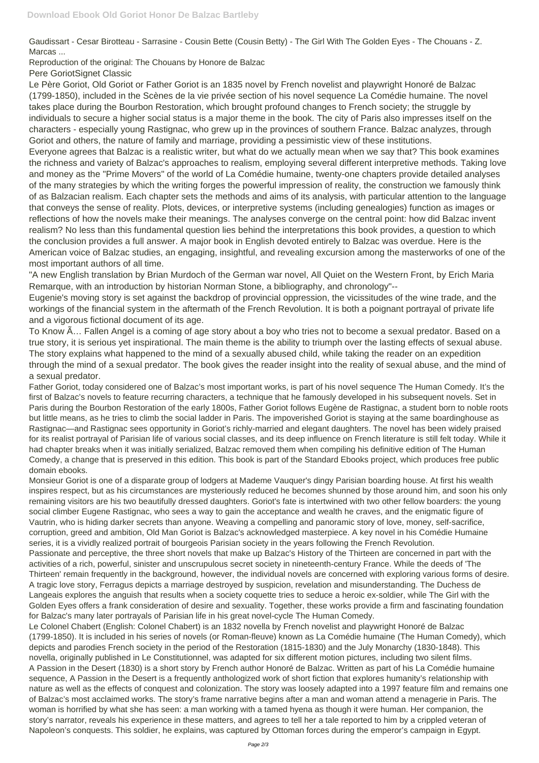Gaudissart - Cesar Birotteau - Sarrasine - Cousin Bette (Cousin Betty) - The Girl With The Golden Eyes - The Chouans - Z. Marcas ...

Reproduction of the original: The Chouans by Honore de Balzac

Pere GoriotSignet Classic

Le Père Goriot, Old Goriot or Father Goriot is an 1835 novel by French novelist and playwright Honoré de Balzac (1799-1850), included in the Scènes de la vie privée section of his novel sequence La Comédie humaine. The novel takes place during the Bourbon Restoration, which brought profound changes to French society; the struggle by individuals to secure a higher social status is a major theme in the book. The city of Paris also impresses itself on the characters - especially young Rastignac, who grew up in the provinces of southern France. Balzac analyzes, through Goriot and others, the nature of family and marriage, providing a pessimistic view of these institutions.

Everyone agrees that Balzac is a realistic writer, but what do we actually mean when we say that? This book examines the richness and variety of Balzac's approaches to realism, employing several different interpretive methods. Taking love and money as the "Prime Movers" of the world of La Comédie humaine, twenty-one chapters provide detailed analyses of the many strategies by which the writing forges the powerful impression of reality, the construction we famously think of as Balzacian realism. Each chapter sets the methods and aims of its analysis, with particular attention to the language that conveys the sense of reality. Plots, devices, or interpretive systems (including genealogies) function as images or reflections of how the novels make their meanings. The analyses converge on the central point: how did Balzac invent realism? No less than this fundamental question lies behind the interpretations this book provides, a question to which the conclusion provides a full answer. A major book in English devoted entirely to Balzac was overdue. Here is the American voice of Balzac studies, an engaging, insightful, and revealing excursion among the masterworks of one of the most important authors of all time.

"A new English translation by Brian Murdoch of the German war novel, All Quiet on the Western Front, by Erich Maria Remarque, with an introduction by historian Norman Stone, a bibliography, and chronology"--

Eugenie's moving story is set against the backdrop of provincial oppression, the vicissitudes of the wine trade, and the workings of the financial system in the aftermath of the French Revolution. It is both a poignant portrayal of private life and a vigorous fictional document of its age.

To Know Ã… Fallen Angel is a coming of age story about a boy who tries not to become a sexual predator. Based on a true story, it is serious yet inspirational. The main theme is the ability to triumph over the lasting effects of sexual abuse. The story explains what happened to the mind of a sexually abused child, while taking the reader on an expedition through the mind of a sexual predator. The book gives the reader insight into the reality of sexual abuse, and the mind of a sexual predator.

Father Goriot, today considered one of Balzac's most important works, is part of his novel sequence The Human Comedy. It's the first of Balzac's novels to feature recurring characters, a technique that he famously developed in his subsequent novels. Set in Paris during the Bourbon Restoration of the early 1800s, Father Goriot follows Eugène de Rastignac, a student born to noble roots but little means, as he tries to climb the social ladder in Paris. The impoverished Goriot is staying at the same boardinghouse as Rastignac—and Rastignac sees opportunity in Goriot's richly-married and elegant daughters. The novel has been widely praised for its realist portrayal of Parisian life of various social classes, and its deep influence on French literature is still felt today. While it had chapter breaks when it was initially serialized, Balzac removed them when compiling his definitive edition of The Human Comedy, a change that is preserved in this edition. This book is part of the Standard Ebooks project, which produces free public domain ebooks.

Monsieur Goriot is one of a disparate group of lodgers at Mademe Vauquer's dingy Parisian boarding house. At first his wealth inspires respect, but as his circumstances are mysteriously reduced he becomes shunned by those around him, and soon his only remaining visitors are his two beautifully dressed daughters. Goriot's fate is intertwined with two other fellow boarders: the young social climber Eugene Rastignac, who sees a way to gain the acceptance and wealth he craves, and the enigmatic figure of Vautrin, who is hiding darker secrets than anyone. Weaving a compelling and panoramic story of love, money, self-sacrifice, corruption, greed and ambition, Old Man Goriot is Balzac's acknowledged masterpiece. A key novel in his Comédie Humaine series, it is a vividly realized portrait of bourgeois Parisian society in the years following the French Revolution.

Passionate and perceptive, the three short novels that make up Balzac's History of the Thirteen are concerned in part with the activities of a rich, powerful, sinister and unscrupulous secret society in nineteenth-century France. While the deeds of 'The Thirteen' remain frequently in the background, however, the individual novels are concerned with exploring various forms of desire. A tragic love story, Ferragus depicts a marriage destroyed by suspicion, revelation and misunderstanding. The Duchess de Langeais explores the anguish that results when a society coquette tries to seduce a heroic ex-soldier, while The Girl with the Golden Eyes offers a frank consideration of desire and sexuality. Together, these works provide a firm and fascinating foundation for Balzac's many later portrayals of Parisian life in his great novel-cycle The Human Comedy. Le Colonel Chabert (English: Colonel Chabert) is an 1832 novella by French novelist and playwright Honoré de Balzac (1799-1850). It is included in his series of novels (or Roman-fleuve) known as La Comédie humaine (The Human Comedy), which depicts and parodies French society in the period of the Restoration (1815-1830) and the July Monarchy (1830-1848). This novella, originally published in Le Constitutionnel, was adapted for six different motion pictures, including two silent films. A Passion in the Desert (1830) is a short story by French author Honoré de Balzac. Written as part of his La Comédie humaine sequence, A Passion in the Desert is a frequently anthologized work of short fiction that explores humanity's relationship with nature as well as the effects of conquest and colonization. The story was loosely adapted into a 1997 feature film and remains one of Balzac's most acclaimed works. The story's frame narrative begins after a man and woman attend a menagerie in Paris. The woman is horrified by what she has seen: a man working with a tamed hyena as though it were human. Her companion, the story's narrator, reveals his experience in these matters, and agrees to tell her a tale reported to him by a crippled veteran of Napoleon's conquests. This soldier, he explains, was captured by Ottoman forces during the emperor's campaign in Egypt.